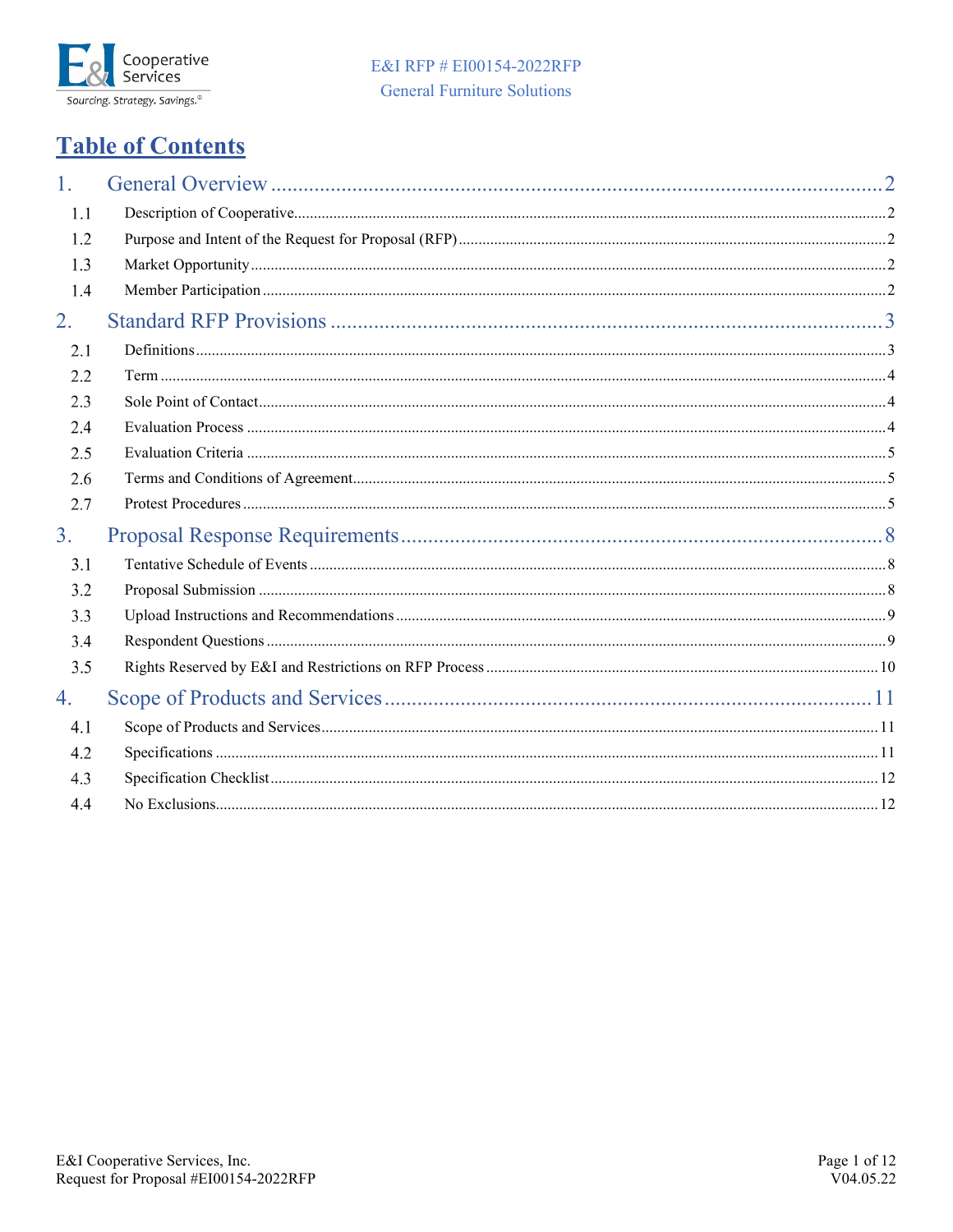

# E&I RFP # EI00154-2022RFP **General Furniture Solutions**

# **Table of Contents**

<span id="page-0-0"></span>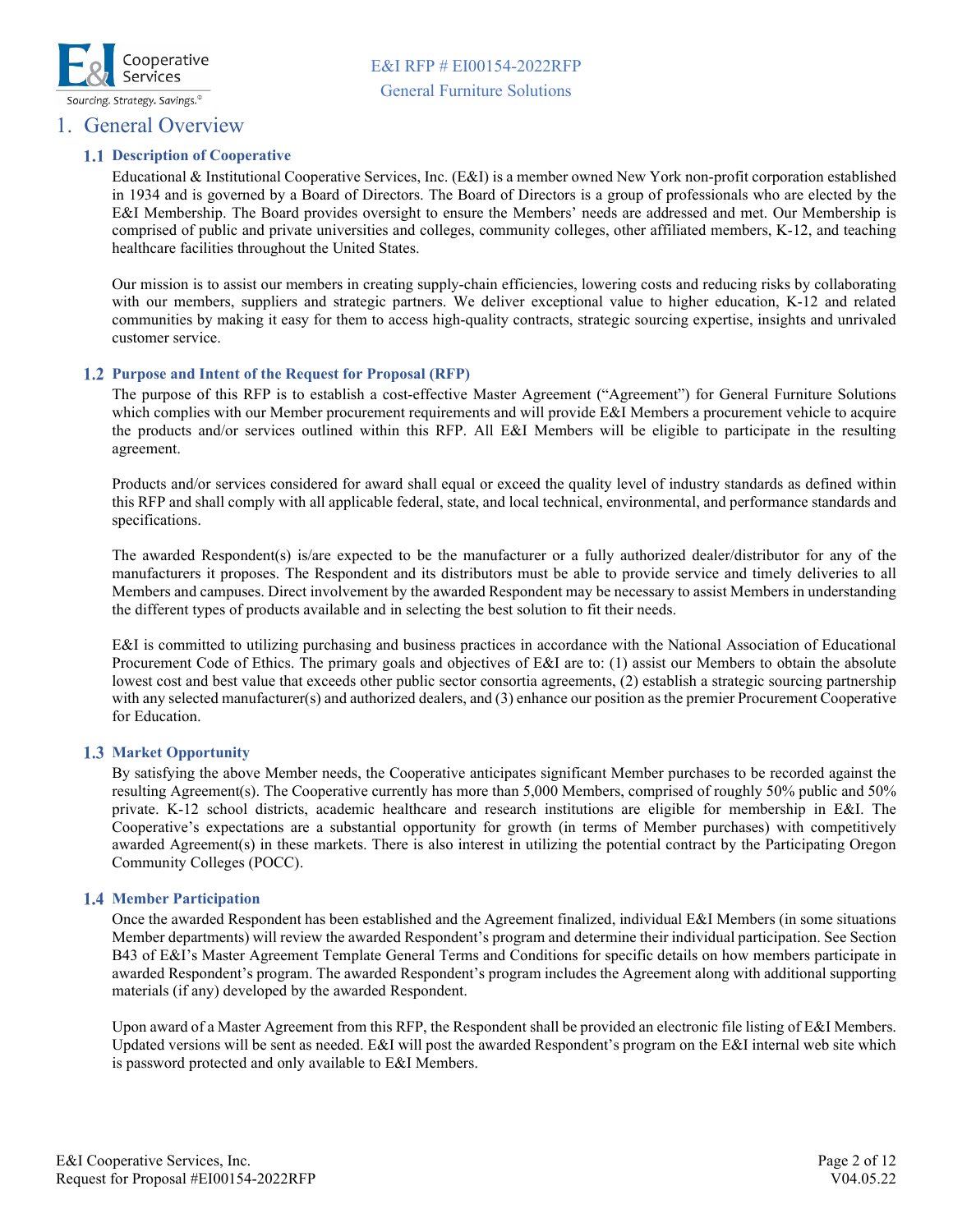

### <span id="page-1-0"></span>1. General Overview

### **1.1 Description of Cooperative**

Educational & Institutional Cooperative Services, Inc. (E&I) is a member owned New York non-profit corporation established in 1934 and is governed by a Board of Directors. The Board of Directors is a group of professionals who are elected by the E&I Membership. The Board provides oversight to ensure the Members' needs are addressed and met. Our Membership is comprised of public and private universities and colleges, community colleges, other affiliated members, K-12, and teaching healthcare facilities throughout the United States.

Our mission is to assist our members in creating supply-chain efficiencies, lowering costs and reducing risks by collaborating with our members, suppliers and strategic partners. We deliver exceptional value to higher education, K-12 and related communities by making it easy for them to access high-quality contracts, strategic sourcing expertise, insights and unrivaled customer service.

### <span id="page-1-1"></span>**Purpose and Intent of the Request for Proposal (RFP)**

The purpose of this RFP is to establish a cost-effective Master Agreement ("Agreement") for General Furniture Solutions which complies with our Member procurement requirements and will provide E&I Members a procurement vehicle to acquire the products and/or services outlined within this RFP. All E&I Members will be eligible to participate in the resulting agreement.

Products and/or services considered for award shall equal or exceed the quality level of industry standards as defined within this RFP and shall comply with all applicable federal, state, and local technical, environmental, and performance standards and specifications.

The awarded Respondent(s) is/are expected to be the manufacturer or a fully authorized dealer/distributor for any of the manufacturers it proposes. The Respondent and its distributors must be able to provide service and timely deliveries to all Members and campuses. Direct involvement by the awarded Respondent may be necessary to assist Members in understanding the different types of products available and in selecting the best solution to fit their needs.

E&I is committed to utilizing purchasing and business practices in accordance with the National Association of Educational Procurement Code of Ethics. The primary goals and objectives of E&I are to: (1) assist our Members to obtain the absolute lowest cost and best value that exceeds other public sector consortia agreements, (2) establish a strategic sourcing partnership with any selected manufacturer(s) and authorized dealers, and (3) enhance our position as the premier Procurement Cooperative for Education.

### <span id="page-1-2"></span>**1.3 Market Opportunity**

By satisfying the above Member needs, the Cooperative anticipates significant Member purchases to be recorded against the resulting Agreement(s). The Cooperative currently has more than 5,000 Members, comprised of roughly 50% public and 50% private. K-12 school districts, academic healthcare and research institutions are eligible for membership in E&I. The Cooperative's expectations are a substantial opportunity for growth (in terms of Member purchases) with competitively awarded Agreement(s) in these markets. There is also interest in utilizing the potential contract by the Participating Oregon Community Colleges (POCC).

### <span id="page-1-3"></span>**Member Participation**

Once the awarded Respondent has been established and the Agreement finalized, individual E&I Members (in some situations Member departments) will review the awarded Respondent's program and determine their individual participation. See Section B43 of E&I's Master Agreement Template General Terms and Conditions for specific details on how members participate in awarded Respondent's program. The awarded Respondent's program includes the Agreement along with additional supporting materials (if any) developed by the awarded Respondent.

Upon award of a Master Agreement from this RFP, the Respondent shall be provided an electronic file listing of E&I Members. Updated versions will be sent as needed. E&I will post the awarded Respondent's program on the E&I internal web site which is password protected and only available to E&I Members.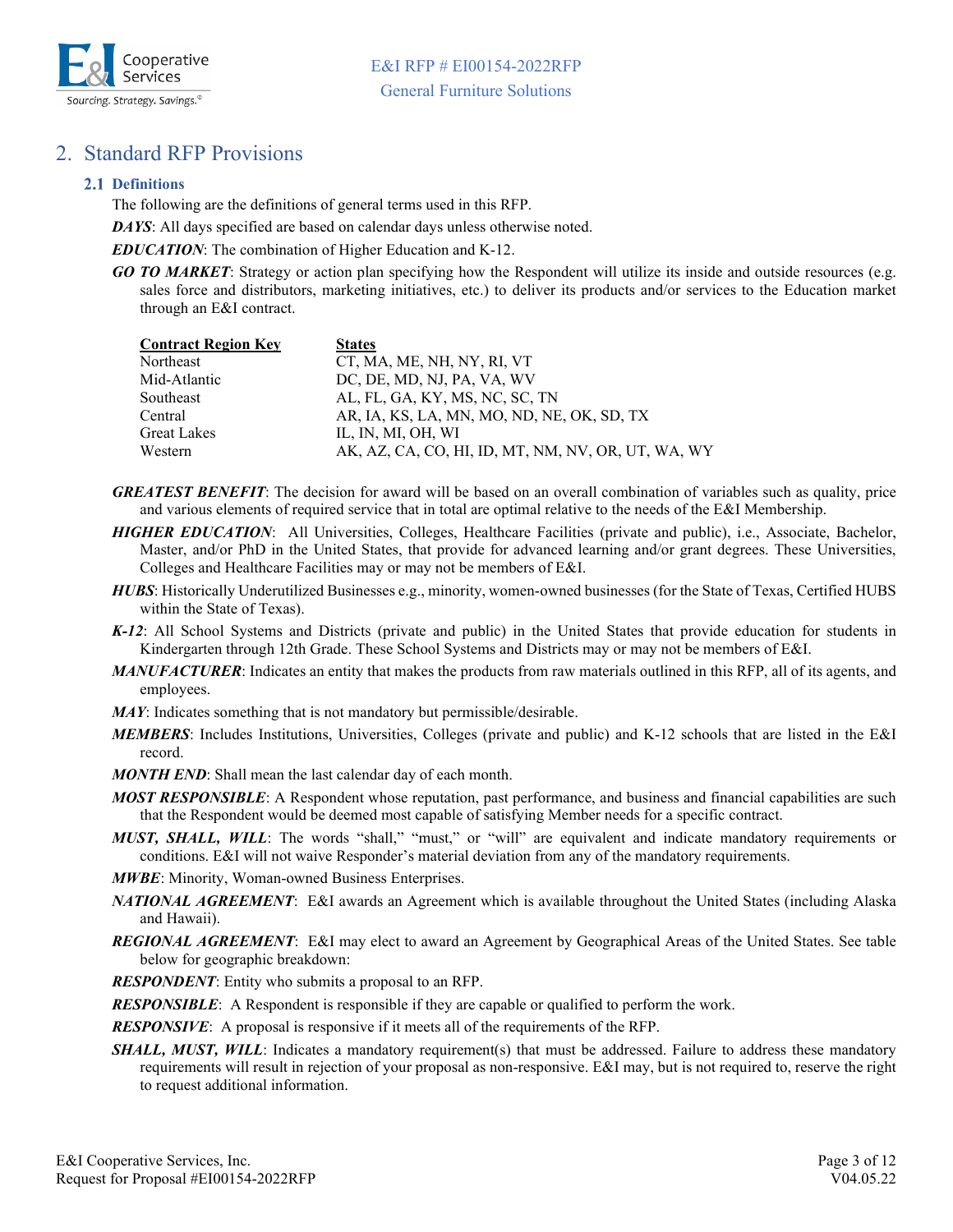

# <span id="page-2-0"></span>2. Standard RFP Provisions

### <span id="page-2-1"></span>**Definitions**

The following are the definitions of general terms used in this RFP.

*DAYS*: All days specified are based on calendar days unless otherwise noted.

*EDUCATION*: The combination of Higher Education and K-12.

*GO TO MARKET*: Strategy or action plan specifying how the Respondent will utilize its inside and outside resources (e.g. sales force and distributors, marketing initiatives, etc.) to deliver its products and/or services to the Education market through an E&I contract.

| <b>Contract Region Key</b> | <b>States</b>                                      |
|----------------------------|----------------------------------------------------|
| Northeast                  | CT, MA, ME, NH, NY, RI, VT                         |
| Mid-Atlantic               | DC, DE, MD, NJ, PA, VA, WV                         |
| Southeast                  | AL, FL, GA, KY, MS, NC, SC, TN                     |
| Central                    | AR, IA, KS, LA, MN, MO, ND, NE, OK, SD, TX         |
| <b>Great Lakes</b>         | IL, IN, MI, OH, WI                                 |
| Western                    | AK, AZ, CA, CO, HI, ID, MT, NM, NV, OR, UT, WA, WY |

- *GREATEST BENEFIT*: The decision for award will be based on an overall combination of variables such as quality, price and various elements of required service that in total are optimal relative to the needs of the E&I Membership.
- *HIGHER EDUCATION*: All Universities, Colleges, Healthcare Facilities (private and public), i.e., Associate, Bachelor, Master, and/or PhD in the United States, that provide for advanced learning and/or grant degrees. These Universities, Colleges and Healthcare Facilities may or may not be members of E&I.
- *HUBS*: Historically Underutilized Businesses e.g., minority, women-owned businesses (for the State of Texas, Certified HUBS within the State of Texas).
- *K-12*: All School Systems and Districts (private and public) in the United States that provide education for students in Kindergarten through 12th Grade. These School Systems and Districts may or may not be members of E&I.
- *MANUFACTURER*: Indicates an entity that makes the products from raw materials outlined in this RFP, all of its agents, and employees.
- *MAY*: Indicates something that is not mandatory but permissible/desirable.
- *MEMBERS*: Includes Institutions, Universities, Colleges (private and public) and K-12 schools that are listed in the E&I record.
- *MONTH END*: Shall mean the last calendar day of each month.
- *MOST RESPONSIBLE*: A Respondent whose reputation, past performance, and business and financial capabilities are such that the Respondent would be deemed most capable of satisfying Member needs for a specific contract.
- *MUST, SHALL, WILL*: The words "shall," "must," or "will" are equivalent and indicate mandatory requirements or conditions. E&I will not waive Responder's material deviation from any of the mandatory requirements.
- *MWBE*: Minority, Woman-owned Business Enterprises.
- *NATIONAL AGREEMENT*: E&I awards an Agreement which is available throughout the United States (including Alaska and Hawaii).
- *REGIONAL AGREEMENT*: E&I may elect to award an Agreement by Geographical Areas of the United States. See table below for geographic breakdown:

*RESPONDENT*: Entity who submits a proposal to an RFP.

*RESPONSIBLE*: A Respondent is responsible if they are capable or qualified to perform the work.

*RESPONSIVE*: A proposal is responsive if it meets all of the requirements of the RFP.

**SHALL, MUST, WILL**: Indicates a mandatory requirement(s) that must be addressed. Failure to address these mandatory requirements will result in rejection of your proposal as non-responsive. E&I may, but is not required to, reserve the right to request additional information.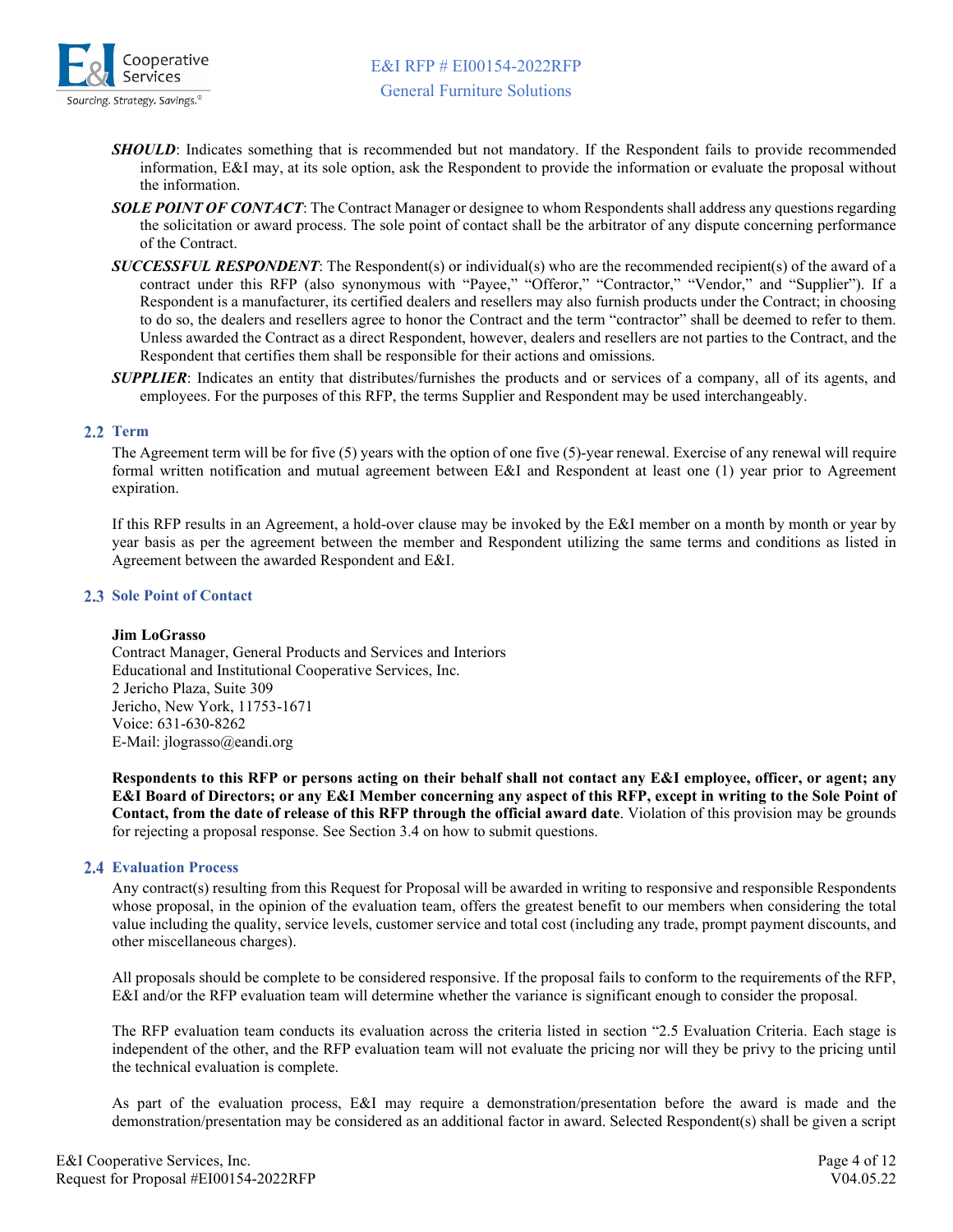

- *SHOULD*: Indicates something that is recommended but not mandatory. If the Respondent fails to provide recommended information, E&I may, at its sole option, ask the Respondent to provide the information or evaluate the proposal without the information.
- *SOLE POINT OF CONTACT*: The Contract Manager or designee to whom Respondents shall address any questions regarding the solicitation or award process. The sole point of contact shall be the arbitrator of any dispute concerning performance of the Contract.
- *SUCCESSFUL RESPONDENT*: The Respondent(s) or individual(s) who are the recommended recipient(s) of the award of a contract under this RFP (also synonymous with "Payee," "Offeror," "Contractor," "Vendor," and "Supplier"). If a Respondent is a manufacturer, its certified dealers and resellers may also furnish products under the Contract; in choosing to do so, the dealers and resellers agree to honor the Contract and the term "contractor" shall be deemed to refer to them. Unless awarded the Contract as a direct Respondent, however, dealers and resellers are not parties to the Contract, and the Respondent that certifies them shall be responsible for their actions and omissions.
- *SUPPLIER*: Indicates an entity that distributes/furnishes the products and or services of a company, all of its agents, and employees. For the purposes of this RFP, the terms Supplier and Respondent may be used interchangeably.

### <span id="page-3-0"></span>2.2 Term

The Agreement term will be for five (5) years with the option of one five (5)-year renewal. Exercise of any renewal will require formal written notification and mutual agreement between E&I and Respondent at least one (1) year prior to Agreement expiration.

If this RFP results in an Agreement, a hold-over clause may be invoked by the E&I member on a month by month or year by year basis as per the agreement between the member and Respondent utilizing the same terms and conditions as listed in Agreement between the awarded Respondent and E&I.

### <span id="page-3-1"></span>**2.3 Sole Point of Contact**

### **Jim LoGrasso**

Contract Manager, General Products and Services and Interiors Educational and Institutional Cooperative Services, Inc. 2 Jericho Plaza, Suite 309 Jericho, New York, 11753-1671 Voice: 631-630-8262 E-Mail: jlograsso@eandi.org

**Respondents to this RFP or persons acting on their behalf shall not contact any E&I employee, officer, or agent; any E&I Board of Directors; or any E&I Member concerning any aspect of this RFP, except in writing to the Sole Point of Contact, from the date of release of this RFP through the official award date**. Violation of this provision may be grounds for rejecting a proposal response. See Section 3.4 on how to submit questions.

### <span id="page-3-2"></span>**Evaluation Process**

Any contract(s) resulting from this Request for Proposal will be awarded in writing to responsive and responsible Respondents whose proposal, in the opinion of the evaluation team, offers the greatest benefit to our members when considering the total value including the quality, service levels, customer service and total cost (including any trade, prompt payment discounts, and other miscellaneous charges).

All proposals should be complete to be considered responsive. If the proposal fails to conform to the requirements of the RFP, E&I and/or the RFP evaluation team will determine whether the variance is significant enough to consider the proposal.

The RFP evaluation team conducts its evaluation across the criteria listed in section "2.5 Evaluation Criteria. Each stage is independent of the other, and the RFP evaluation team will not evaluate the pricing nor will they be privy to the pricing until the technical evaluation is complete.

As part of the evaluation process, E&I may require a demonstration/presentation before the award is made and the demonstration/presentation may be considered as an additional factor in award. Selected Respondent(s) shall be given a script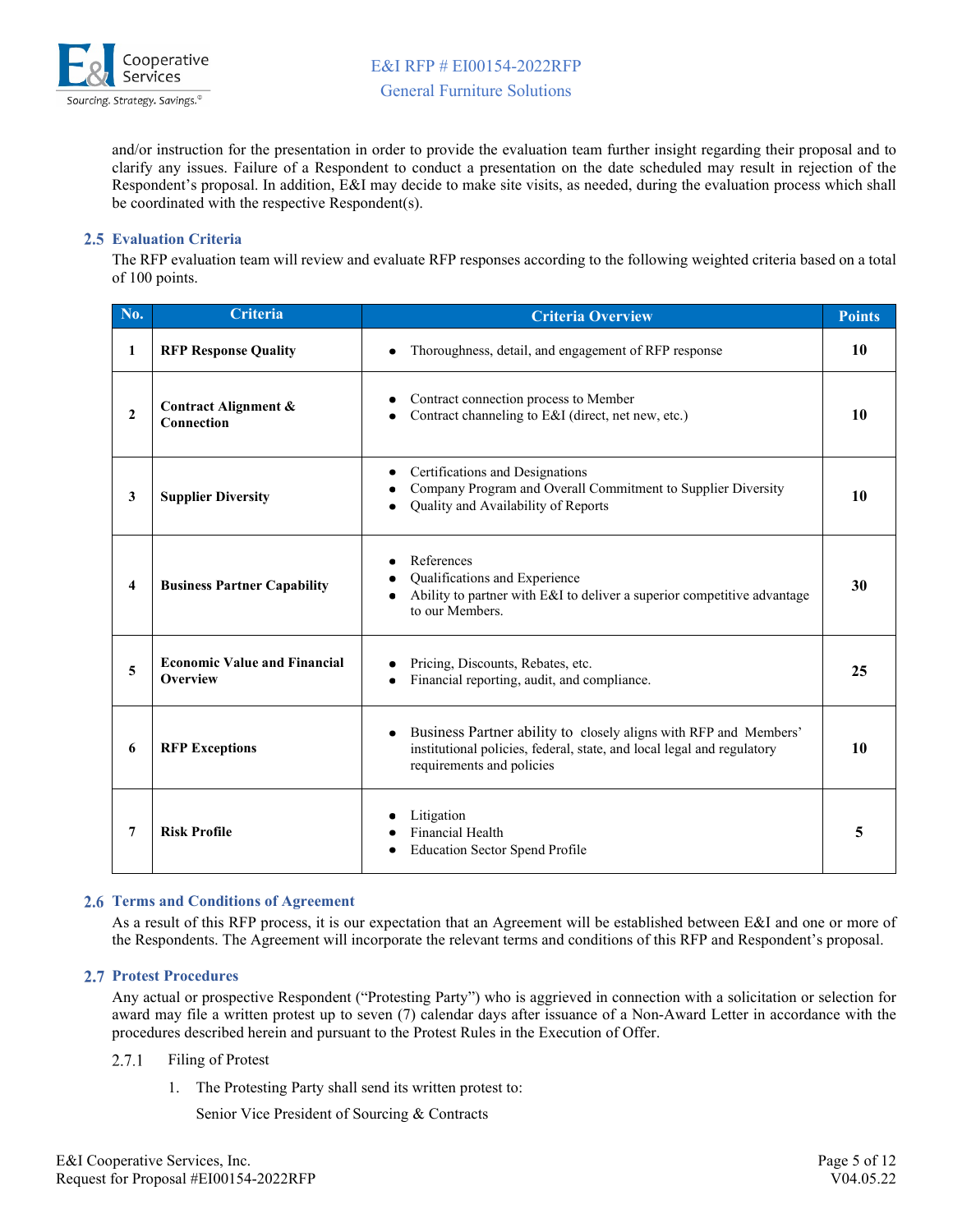

and/or instruction for the presentation in order to provide the evaluation team further insight regarding their proposal and to clarify any issues. Failure of a Respondent to conduct a presentation on the date scheduled may result in rejection of the Respondent's proposal. In addition, E&I may decide to make site visits, as needed, during the evaluation process which shall be coordinated with the respective Respondent(s).

### <span id="page-4-0"></span>**Evaluation Criteria**

The RFP evaluation team will review and evaluate RFP responses according to the following weighted criteria based on a total of 100 points.

| No.          | Criteria                                        | <b>Criteria Overview</b>                                                                                                                                                             | <b>Points</b> |
|--------------|-------------------------------------------------|--------------------------------------------------------------------------------------------------------------------------------------------------------------------------------------|---------------|
| 1            | <b>RFP Response Quality</b>                     | Thoroughness, detail, and engagement of RFP response<br>$\bullet$                                                                                                                    | 10            |
| $\mathbf{2}$ | <b>Contract Alignment &amp;</b><br>Connection   | Contract connection process to Member<br>Contract channeling to E&I (direct, net new, etc.)                                                                                          | 10            |
| $\mathbf{3}$ | <b>Supplier Diversity</b>                       | Certifications and Designations<br>٠<br>Company Program and Overall Commitment to Supplier Diversity<br>Quality and Availability of Reports                                          | 10            |
| 4            | <b>Business Partner Capability</b>              | References<br>٠<br>Qualifications and Experience<br>$\bullet$<br>Ability to partner with E&I to deliver a superior competitive advantage<br>$\bullet$<br>to our Members.             | 30            |
| 5            | <b>Economic Value and Financial</b><br>Overview | Pricing, Discounts, Rebates, etc.<br>Financial reporting, audit, and compliance.                                                                                                     | 25            |
| 6            | <b>RFP Exceptions</b>                           | Business Partner ability to closely aligns with RFP and Members'<br>$\bullet$<br>institutional policies, federal, state, and local legal and regulatory<br>requirements and policies | 10            |
| 7            | <b>Risk Profile</b>                             | Litigation<br><b>Financial Health</b><br><b>Education Sector Spend Profile</b>                                                                                                       | 5             |

### <span id="page-4-1"></span>**Terms and Conditions of Agreement**

As a result of this RFP process, it is our expectation that an Agreement will be established between E&I and one or more of the Respondents. The Agreement will incorporate the relevant terms and conditions of this RFP and Respondent's proposal.

### <span id="page-4-2"></span>**Protest Procedures**

Any actual or prospective Respondent ("Protesting Party") who is aggrieved in connection with a solicitation or selection for award may file a written protest up to seven (7) calendar days after issuance of a Non-Award Letter in accordance with the procedures described herein and pursuant to the Protest Rules in the Execution of Offer.

#### 2.7.1 Filing of Protest

1. The Protesting Party shall send its written protest to:

Senior Vice President of Sourcing & Contracts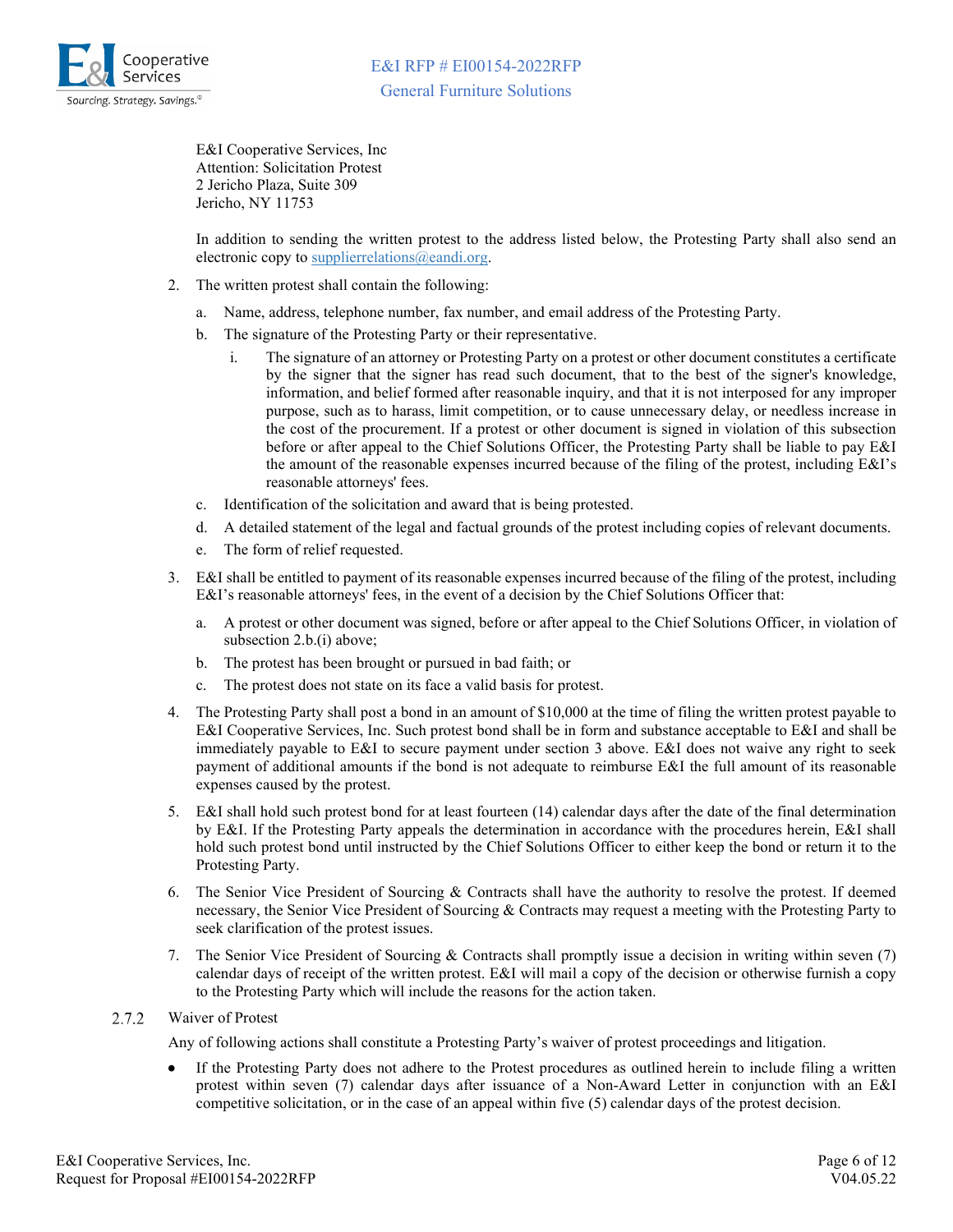

E&I Cooperative Services, Inc Attention: Solicitation Protest 2 Jericho Plaza, Suite 309 Jericho, NY 11753

In addition to sending the written protest to the address listed below, the Protesting Party shall also send an electronic copy to [supplierrelations@eandi.org.](mailto:supplierrelations@eandi.org)

- 2. The written protest shall contain the following:
	- a. Name, address, telephone number, fax number, and email address of the Protesting Party.
	- b. The signature of the Protesting Party or their representative.
		- i. The signature of an attorney or Protesting Party on a protest or other document constitutes a certificate by the signer that the signer has read such document, that to the best of the signer's knowledge, information, and belief formed after reasonable inquiry, and that it is not interposed for any improper purpose, such as to harass, limit competition, or to cause unnecessary delay, or needless increase in the cost of the procurement. If a protest or other document is signed in violation of this subsection before or after appeal to the Chief Solutions Officer, the Protesting Party shall be liable to pay E&I the amount of the reasonable expenses incurred because of the filing of the protest, including E&I's reasonable attorneys' fees.
	- c. Identification of the solicitation and award that is being protested.
	- d. A detailed statement of the legal and factual grounds of the protest including copies of relevant documents.
	- e. The form of relief requested.
- 3. E&I shall be entitled to payment of its reasonable expenses incurred because of the filing of the protest, including E&I's reasonable attorneys' fees, in the event of a decision by the Chief Solutions Officer that:
	- a. A protest or other document was signed, before or after appeal to the Chief Solutions Officer, in violation of subsection 2.b.(i) above;
	- b. The protest has been brought or pursued in bad faith; or
	- c. The protest does not state on its face a valid basis for protest.
- 4. The Protesting Party shall post a bond in an amount of \$10,000 at the time of filing the written protest payable to E&I Cooperative Services, Inc. Such protest bond shall be in form and substance acceptable to E&I and shall be immediately payable to E&I to secure payment under section 3 above. E&I does not waive any right to seek payment of additional amounts if the bond is not adequate to reimburse E&I the full amount of its reasonable expenses caused by the protest.
- 5. E&I shall hold such protest bond for at least fourteen (14) calendar days after the date of the final determination by E&I. If the Protesting Party appeals the determination in accordance with the procedures herein, E&I shall hold such protest bond until instructed by the Chief Solutions Officer to either keep the bond or return it to the Protesting Party.
- 6. The Senior Vice President of Sourcing & Contracts shall have the authority to resolve the protest. If deemed necessary, the Senior Vice President of Sourcing & Contracts may request a meeting with the Protesting Party to seek clarification of the protest issues.
- 7. The Senior Vice President of Sourcing & Contracts shall promptly issue a decision in writing within seven (7) calendar days of receipt of the written protest. E&I will mail a copy of the decision or otherwise furnish a copy to the Protesting Party which will include the reasons for the action taken.

#### 2.7.2 Waiver of Protest

Any of following actions shall constitute a Protesting Party's waiver of protest proceedings and litigation.

If the Protesting Party does not adhere to the Protest procedures as outlined herein to include filing a written protest within seven (7) calendar days after issuance of a Non-Award Letter in conjunction with an E&I competitive solicitation, or in the case of an appeal within five (5) calendar days of the protest decision.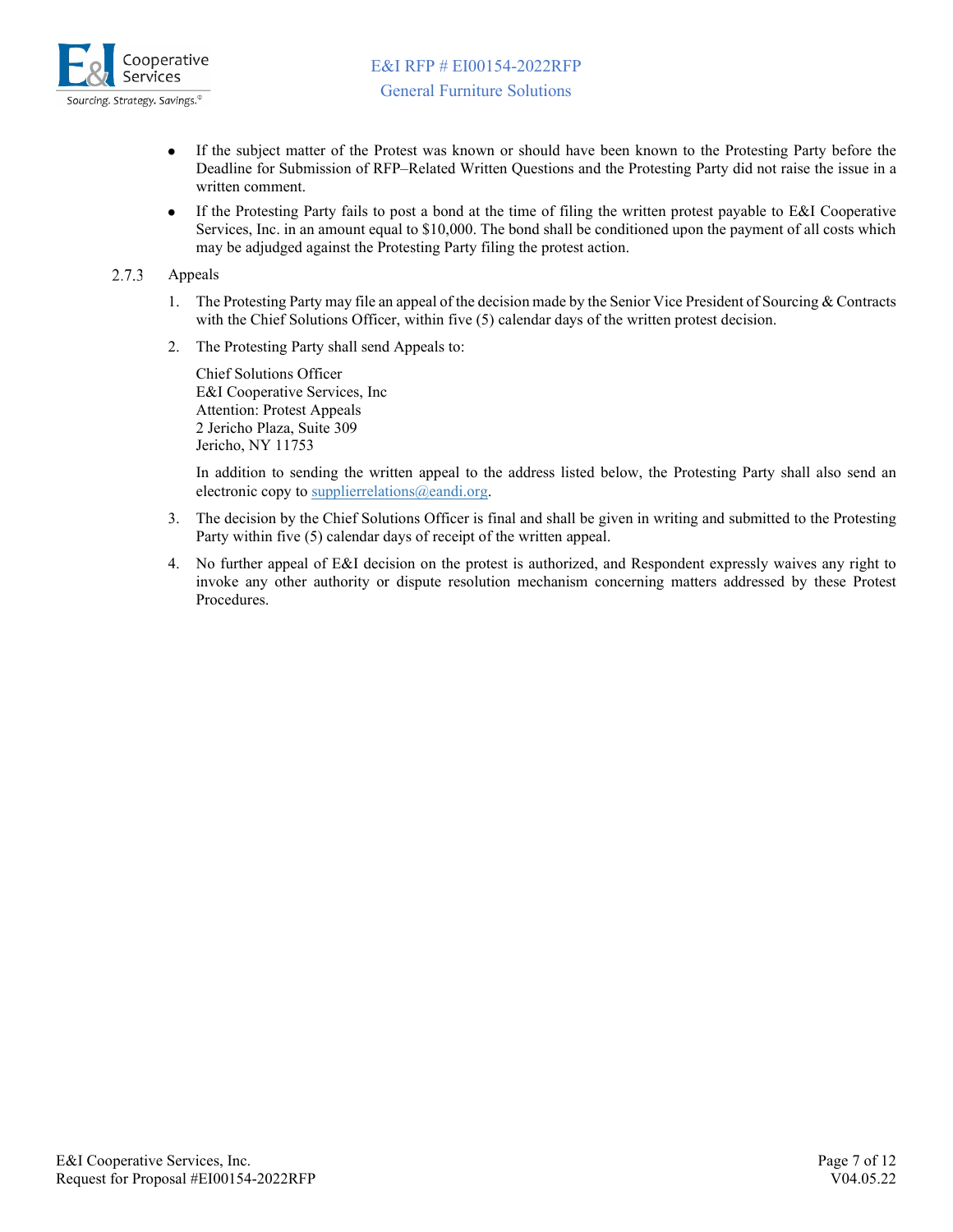

- If the subject matter of the Protest was known or should have been known to the Protesting Party before the  $\bullet$ Deadline for Submission of RFP–Related Written Questions and the Protesting Party did not raise the issue in a written comment.
- If the Protesting Party fails to post a bond at the time of filing the written protest payable to E&I Cooperative  $\bullet$ Services, Inc. in an amount equal to \$10,000. The bond shall be conditioned upon the payment of all costs which may be adjudged against the Protesting Party filing the protest action.

#### 2.7.3 Appeals

- 1. The Protesting Party may file an appeal of the decision made by the Senior Vice President of Sourcing & Contracts with the Chief Solutions Officer, within five (5) calendar days of the written protest decision.
- 2. The Protesting Party shall send Appeals to:

Chief Solutions Officer E&I Cooperative Services, Inc Attention: Protest Appeals 2 Jericho Plaza, Suite 309 Jericho, NY 11753

In addition to sending the written appeal to the address listed below, the Protesting Party shall also send an electronic copy to [supplierrelations@eandi.org.](mailto:supplierrelations@eandi.org)

- 3. The decision by the Chief Solutions Officer is final and shall be given in writing and submitted to the Protesting Party within five (5) calendar days of receipt of the written appeal.
- 4. No further appeal of E&I decision on the protest is authorized, and Respondent expressly waives any right to invoke any other authority or dispute resolution mechanism concerning matters addressed by these Protest Procedures.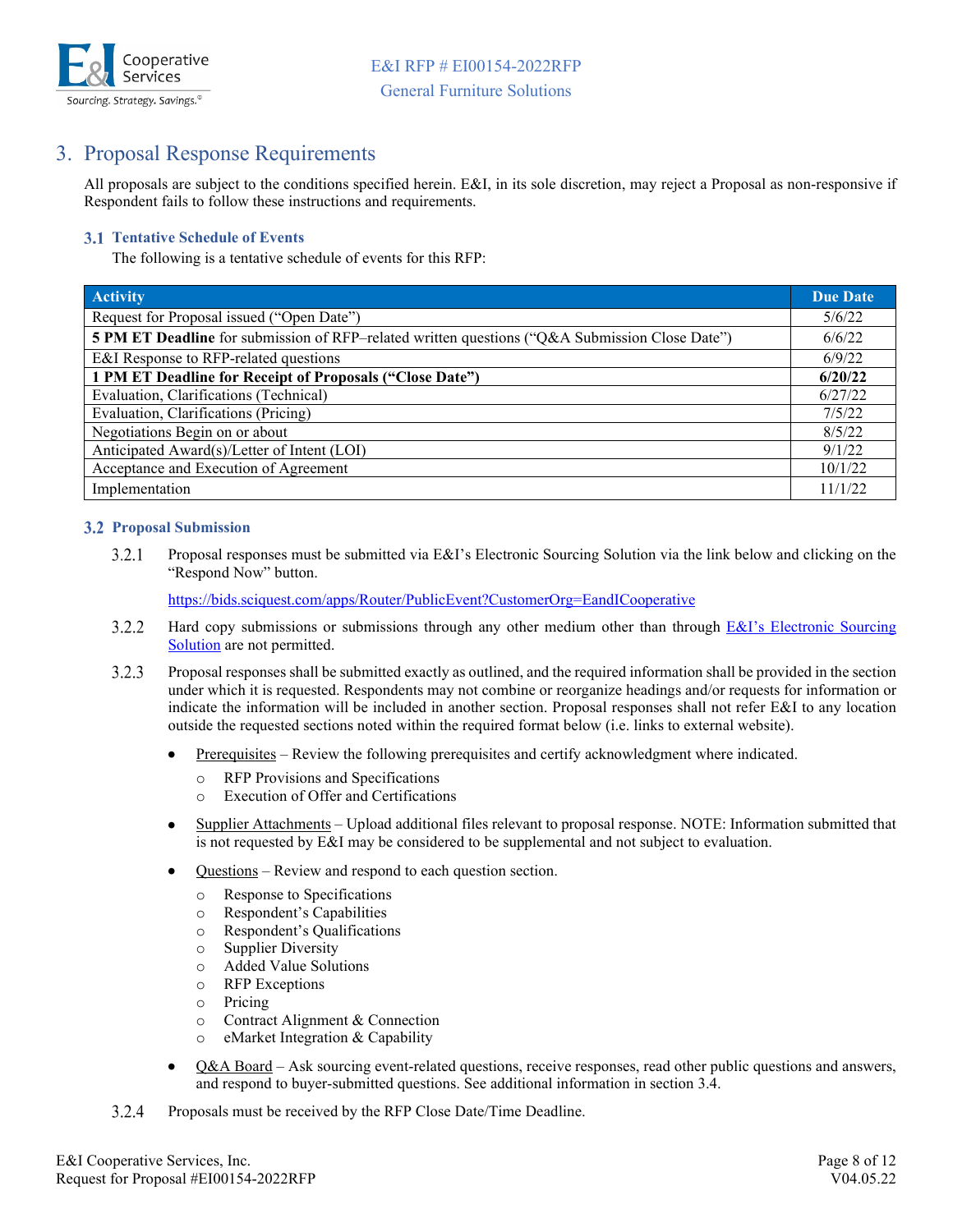

# <span id="page-7-0"></span>3. Proposal Response Requirements

All proposals are subject to the conditions specified herein. E&I, in its sole discretion, may reject a Proposal as non-responsive if Respondent fails to follow these instructions and requirements.

### <span id="page-7-1"></span>**3.1 Tentative Schedule of Events**

The following is a tentative schedule of events for this RFP:

| <b>Activity</b>                                                                                | <b>Due Date</b> |
|------------------------------------------------------------------------------------------------|-----------------|
| Request for Proposal issued ("Open Date")                                                      | 5/6/22          |
| 5 PM ET Deadline for submission of RFP-related written questions ("Q&A Submission Close Date") | 6/6/22          |
| E&I Response to RFP-related questions                                                          | 6/9/22          |
| 1 PM ET Deadline for Receipt of Proposals ("Close Date")                                       | 6/20/22         |
| Evaluation, Clarifications (Technical)                                                         | 6/27/22         |
| Evaluation, Clarifications (Pricing)                                                           | 7/5/22          |
| Negotiations Begin on or about                                                                 | 8/5/22          |
| Anticipated Award(s)/Letter of Intent (LOI)                                                    | 9/1/22          |
| Acceptance and Execution of Agreement                                                          | 10/1/22         |
| Implementation                                                                                 | 11/1/22         |

### <span id="page-7-2"></span>**Proposal Submission**

 $3.2.1$ Proposal responses must be submitted via E&I's Electronic Sourcing Solution via the link below and clicking on the "Respond Now" button.

<https://bids.sciquest.com/apps/Router/PublicEvent?CustomerOrg=EandICooperative>

- 3.2.2 Hard copy submissions or submissions through any other medium other than through **E&I's Electronic Sourcing** [Solution](https://bids.sciquest.com/apps/Router/PublicEvent?CustomerOrg=EandICooperative) are not permitted.
- $3.2.3$ Proposal responses shall be submitted exactly as outlined, and the required information shall be provided in the section under which it is requested. Respondents may not combine or reorganize headings and/or requests for information or indicate the information will be included in another section. Proposal responses shall not refer E&I to any location outside the requested sections noted within the required format below (i.e. links to external website).
	- Prerequisites Review the following prerequisites and certify acknowledgment where indicated.
		- o RFP Provisions and Specifications
		- o Execution of Offer and Certifications
	- Supplier Attachments Upload additional files relevant to proposal response. NOTE: Information submitted that is not requested by E&I may be considered to be supplemental and not subject to evaluation.
	- Questions Review and respond to each question section.
		- o Response to Specifications
		- o Respondent's Capabilities
		- o Respondent's Qualifications
		- **Supplier Diversity**
		- o Added Value Solutions
		- $\circ$  RFP Exceptions<br> $\circ$  Pricing
		- Pricing
		- o Contract Alignment & Connection
		- o eMarket Integration & Capability
	- $\bullet$ Q&A Board – Ask sourcing event-related questions, receive responses, read other public questions and answers, and respond to buyer-submitted questions. See additional information in section 3.4.
- $3.2.4$ Proposals must be received by the RFP Close Date/Time Deadline.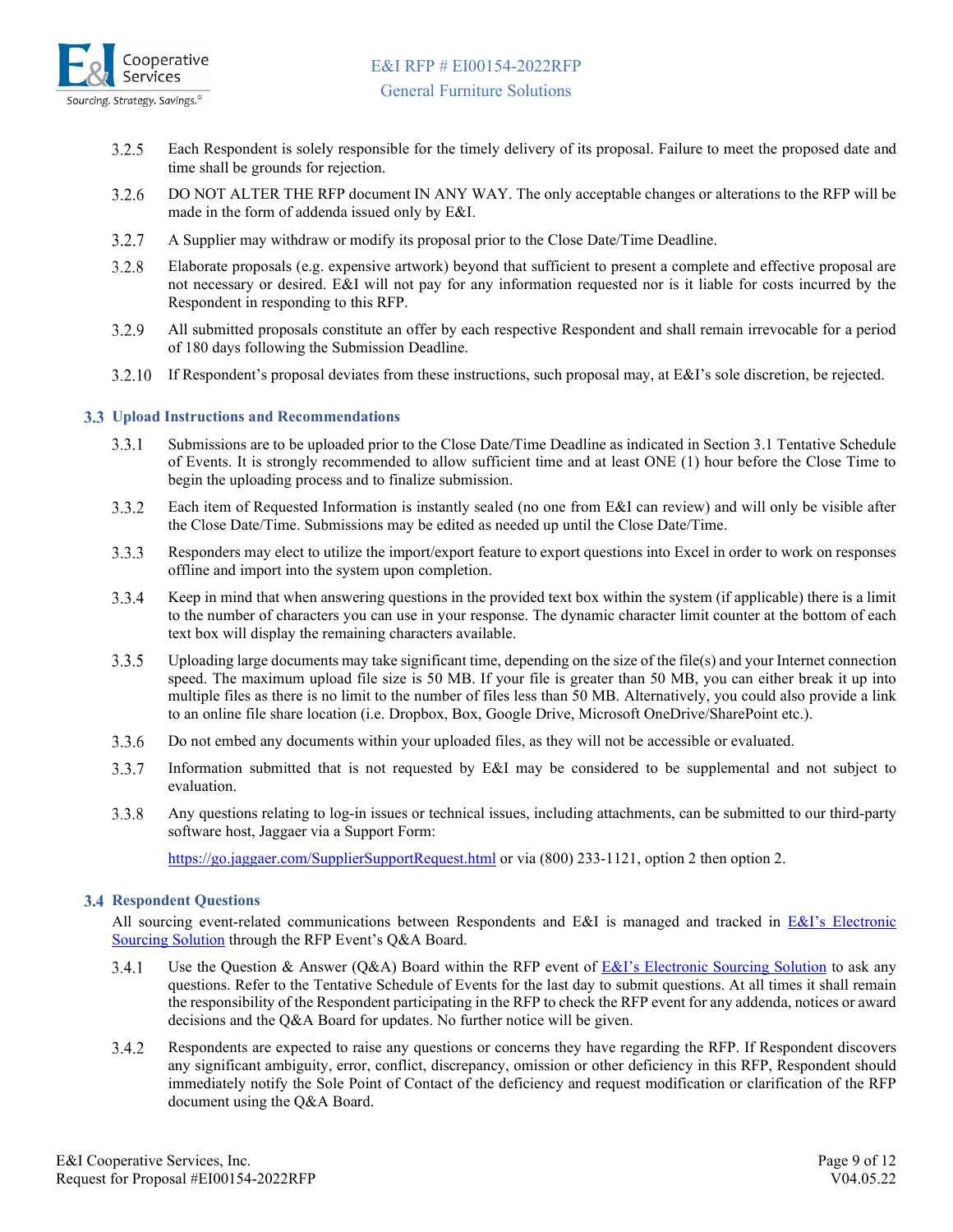

- 3.2.5 Each Respondent is solely responsible for the timely delivery of its proposal. Failure to meet the proposed date and time shall be grounds for rejection.
- 3.2.6 DO NOT ALTER THE RFP document IN ANY WAY. The only acceptable changes or alterations to the RFP will be made in the form of addenda issued only by E&I.
- $3.2.7$ A Supplier may withdraw or modify its proposal prior to the Close Date/Time Deadline.
- $3.2.8$ Elaborate proposals (e.g. expensive artwork) beyond that sufficient to present a complete and effective proposal are not necessary or desired. E&I will not pay for any information requested nor is it liable for costs incurred by the Respondent in responding to this RFP.
- 3.2.9 All submitted proposals constitute an offer by each respective Respondent and shall remain irrevocable for a period of 180 days following the Submission Deadline.
- If Respondent's proposal deviates from these instructions, such proposal may, at E&I's sole discretion, be rejected. 3.2.10

### <span id="page-8-0"></span>**Upload Instructions and Recommendations**

- $3.3.1$ Submissions are to be uploaded prior to the Close Date/Time Deadline as indicated in Section 3.1 Tentative Schedule of Events. It is strongly recommended to allow sufficient time and at least ONE (1) hour before the Close Time to begin the uploading process and to finalize submission.
- 3.3.2 Each item of Requested Information is instantly sealed (no one from E&I can review) and will only be visible after the Close Date/Time. Submissions may be edited as needed up until the Close Date/Time.
- $3.3.3$ Responders may elect to utilize the import/export feature to export questions into Excel in order to work on responses offline and import into the system upon completion.
- $3.3.4$ Keep in mind that when answering questions in the provided text box within the system (if applicable) there is a limit to the number of characters you can use in your response. The dynamic character limit counter at the bottom of each text box will display the remaining characters available.
- $3.3.5$ Uploading large documents may take significant time, depending on the size of the file(s) and your Internet connection speed. The maximum upload file size is 50 MB. If your file is greater than 50 MB, you can either break it up into multiple files as there is no limit to the number of files less than 50 MB. Alternatively, you could also provide a link to an online file share location (i.e. Dropbox, Box, Google Drive, Microsoft OneDrive/SharePoint etc.).
- 3.3.6 Do not embed any documents within your uploaded files, as they will not be accessible or evaluated.
- 3.3.7 Information submitted that is not requested by E&I may be considered to be supplemental and not subject to evaluation.
- 3.3.8 Any questions relating to log-in issues or technical issues, including attachments, can be submitted to our third-party software host, Jaggaer via a Support Form:

<https://go.jaggaer.com/SupplierSupportRequest.html> or via (800) 233-1121, option 2 then option 2.

### <span id="page-8-1"></span>**3.4 Respondent Questions**

All sourcing event-related communications between Respondents and E&I is managed and tracked in E&I's Electronic [Sourcing Solution](https://bids.sciquest.com/apps/Router/PublicEvent?CustomerOrg=EandICooperative) through the RFP Event's Q&A Board.

- $3.4.1$ Use the Question & Answer (Q&A) Board within the RFP event of  $E&I$ 's Electronic Sourcing Solution to ask any questions. Refer to the Tentative Schedule of Events for the last day to submit questions. At all times it shall remain the responsibility of the Respondent participating in the RFP to check the RFP event for any addenda, notices or award decisions and the Q&A Board for updates. No further notice will be given.
- 3.4.2 Respondents are expected to raise any questions or concerns they have regarding the RFP. If Respondent discovers any significant ambiguity, error, conflict, discrepancy, omission or other deficiency in this RFP, Respondent should immediately notify the Sole Point of Contact of the deficiency and request modification or clarification of the RFP document using the Q&A Board.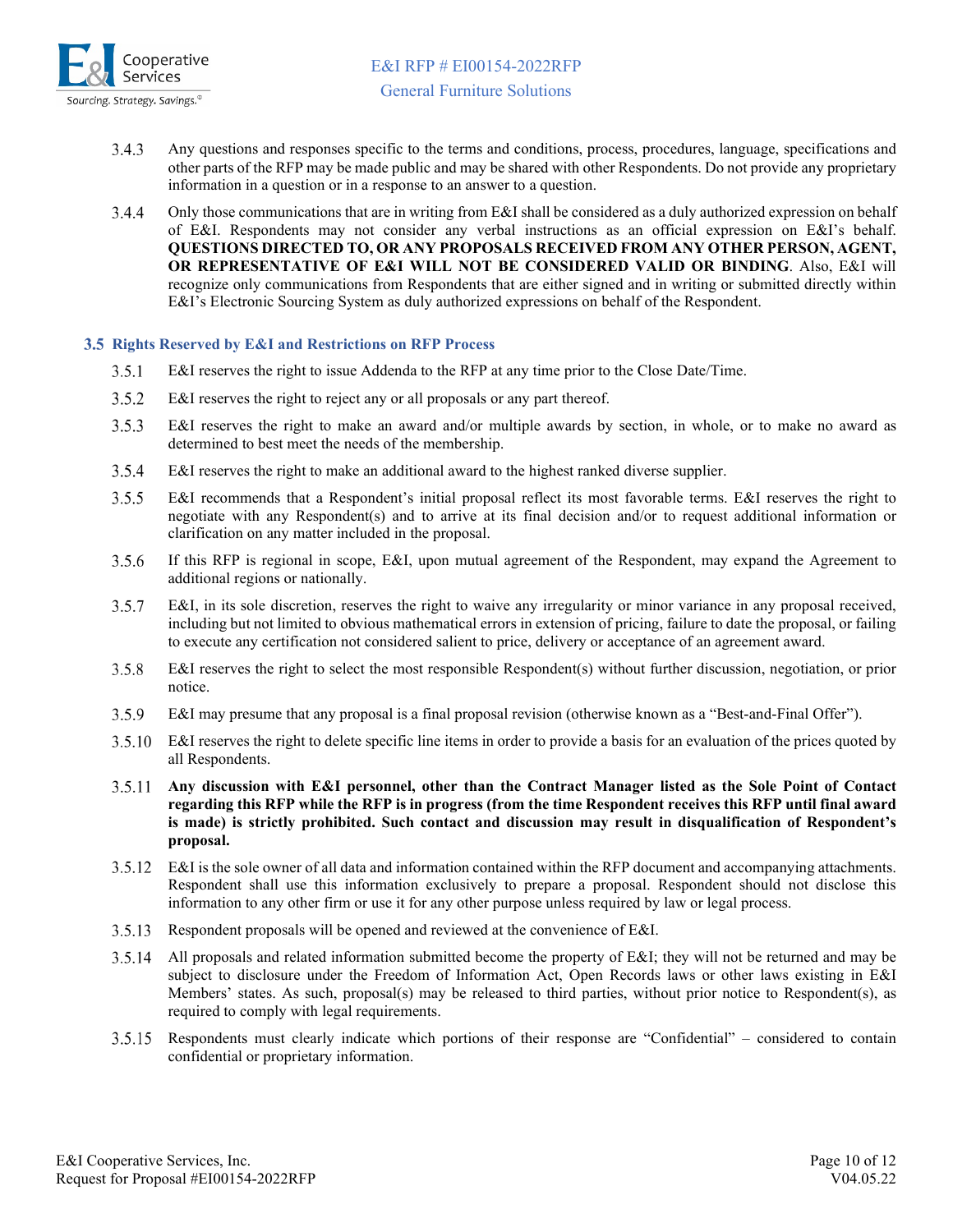

- 3.4.3 Any questions and responses specific to the terms and conditions, process, procedures, language, specifications and other parts of the RFP may be made public and may be shared with other Respondents. Do not provide any proprietary information in a question or in a response to an answer to a question.
- $3.4.4$ Only those communications that are in writing from E&I shall be considered as a duly authorized expression on behalf of E&I. Respondents may not consider any verbal instructions as an official expression on E&I's behalf. **QUESTIONS DIRECTED TO, OR ANY PROPOSALS RECEIVED FROM ANY OTHER PERSON, AGENT, OR REPRESENTATIVE OF E&I WILL NOT BE CONSIDERED VALID OR BINDING**. Also, E&I will recognize only communications from Respondents that are either signed and in writing or submitted directly within E&I's Electronic Sourcing System as duly authorized expressions on behalf of the Respondent.

### <span id="page-9-0"></span>**Rights Reserved by E&I and Restrictions on RFP Process**

- $3.5.1$ E&I reserves the right to issue Addenda to the RFP at any time prior to the Close Date/Time.
- $3.5.2$ E&I reserves the right to reject any or all proposals or any part thereof.
- $3.5.3$ E&I reserves the right to make an award and/or multiple awards by section, in whole, or to make no award as determined to best meet the needs of the membership.
- $3.5.4$ E&I reserves the right to make an additional award to the highest ranked diverse supplier.
- $3.5.5$ E&I recommends that a Respondent's initial proposal reflect its most favorable terms. E&I reserves the right to negotiate with any Respondent(s) and to arrive at its final decision and/or to request additional information or clarification on any matter included in the proposal.
- $3.5.6$ If this RFP is regional in scope, E&I, upon mutual agreement of the Respondent, may expand the Agreement to additional regions or nationally.
- $3.5.7$ E&I, in its sole discretion, reserves the right to waive any irregularity or minor variance in any proposal received, including but not limited to obvious mathematical errors in extension of pricing, failure to date the proposal, or failing to execute any certification not considered salient to price, delivery or acceptance of an agreement award.
- $3.5.8$ E&I reserves the right to select the most responsible Respondent(s) without further discussion, negotiation, or prior notice.
- E&I may presume that any proposal is a final proposal revision (otherwise known as a "Best-and-Final Offer"). 3.5.9
- E&I reserves the right to delete specific line items in order to provide a basis for an evaluation of the prices quoted by all Respondents.
- **Any discussion with E&I personnel, other than the Contract Manager listed as the Sole Point of Contact regarding this RFP while the RFP is in progress (from the time Respondent receives this RFP until final award is made) is strictly prohibited. Such contact and discussion may result in disqualification of Respondent's proposal.**
- E&I is the sole owner of all data and information contained within the RFP document and accompanying attachments. Respondent shall use this information exclusively to prepare a proposal. Respondent should not disclose this information to any other firm or use it for any other purpose unless required by law or legal process.
- Respondent proposals will be opened and reviewed at the convenience of E&I.
- All proposals and related information submitted become the property of E&I; they will not be returned and may be subject to disclosure under the Freedom of Information Act, Open Records laws or other laws existing in E&I Members' states. As such, proposal(s) may be released to third parties, without prior notice to Respondent(s), as required to comply with legal requirements.
- $3.5.15$ Respondents must clearly indicate which portions of their response are "Confidential" – considered to contain confidential or proprietary information.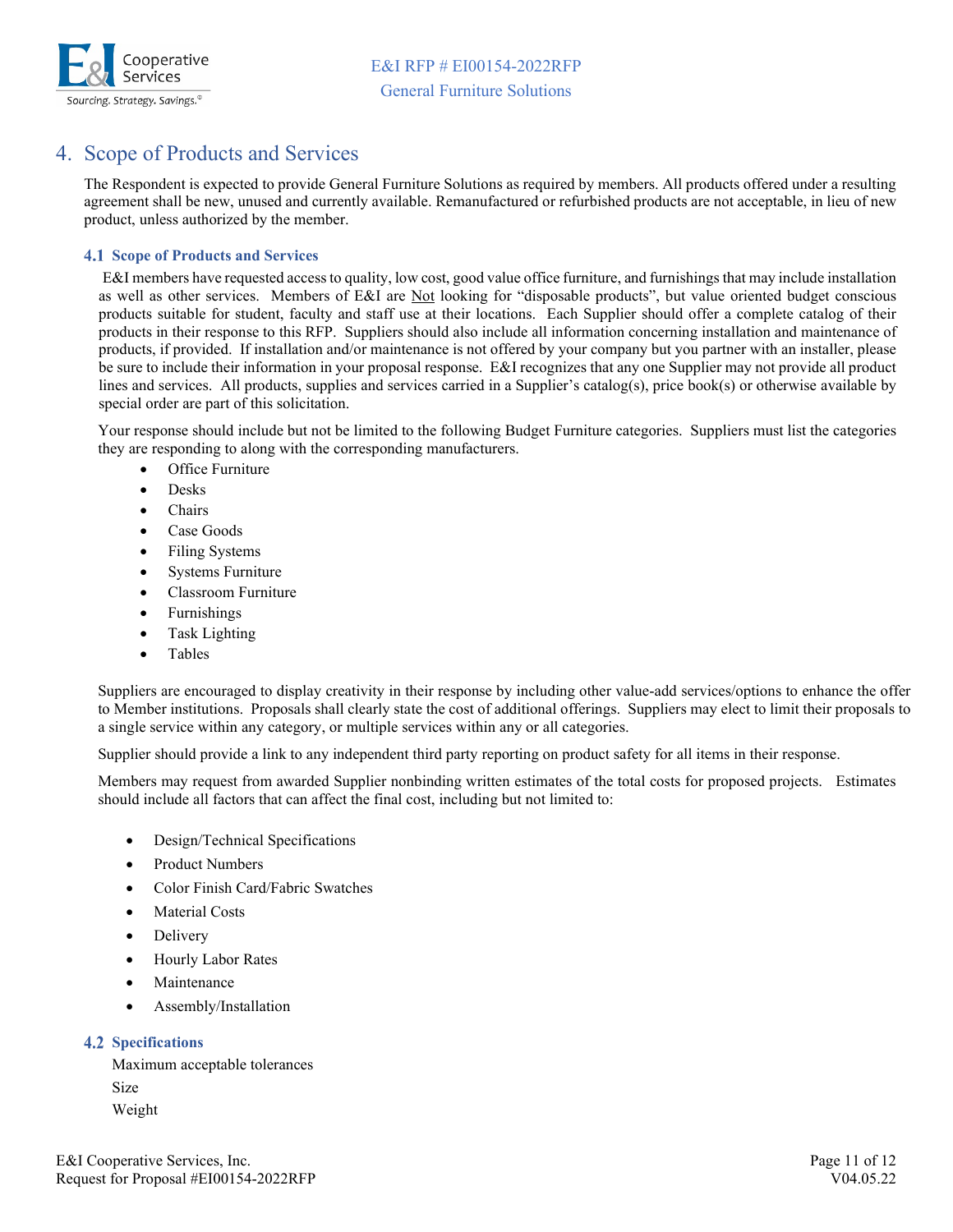

# <span id="page-10-0"></span>4. Scope of Products and Services

The Respondent is expected to provide General Furniture Solutions as required by members. All products offered under a resulting agreement shall be new, unused and currently available. Remanufactured or refurbished products are not acceptable, in lieu of new product, unless authorized by the member.

### <span id="page-10-1"></span>**4.1 Scope of Products and Services**

E&I members have requested access to quality, low cost, good value office furniture, and furnishings that may include installation as well as other services. Members of E&I are Not looking for "disposable products", but value oriented budget conscious products suitable for student, faculty and staff use at their locations. Each Supplier should offer a complete catalog of their products in their response to this RFP. Suppliers should also include all information concerning installation and maintenance of products, if provided. If installation and/or maintenance is not offered by your company but you partner with an installer, please be sure to include their information in your proposal response. E&I recognizes that any one Supplier may not provide all product lines and services. All products, supplies and services carried in a Supplier's catalog(s), price book(s) or otherwise available by special order are part of this solicitation.

Your response should include but not be limited to the following Budget Furniture categories. Suppliers must list the categories they are responding to along with the corresponding manufacturers.

- **Office Furniture**
- Desks
- Chairs
- Case Goods
- Filing Systems
- Systems Furniture
- Classroom Furniture
- Furnishings
- Task Lighting
- Tables

Suppliers are encouraged to display creativity in their response by including other value-add services/options to enhance the offer to Member institutions. Proposals shall clearly state the cost of additional offerings. Suppliers may elect to limit their proposals to a single service within any category, or multiple services within any or all categories.

Supplier should provide a link to any independent third party reporting on product safety for all items in their response.

Members may request from awarded Supplier nonbinding written estimates of the total costs for proposed projects. Estimates should include all factors that can affect the final cost, including but not limited to:

- Design/Technical Specifications
- Product Numbers
- Color Finish Card/Fabric Swatches
- **Material Costs**
- Delivery
- Hourly Labor Rates
- **Maintenance**
- Assembly/Installation

### <span id="page-10-2"></span>**Specifications**

Maximum acceptable tolerances Size Weight